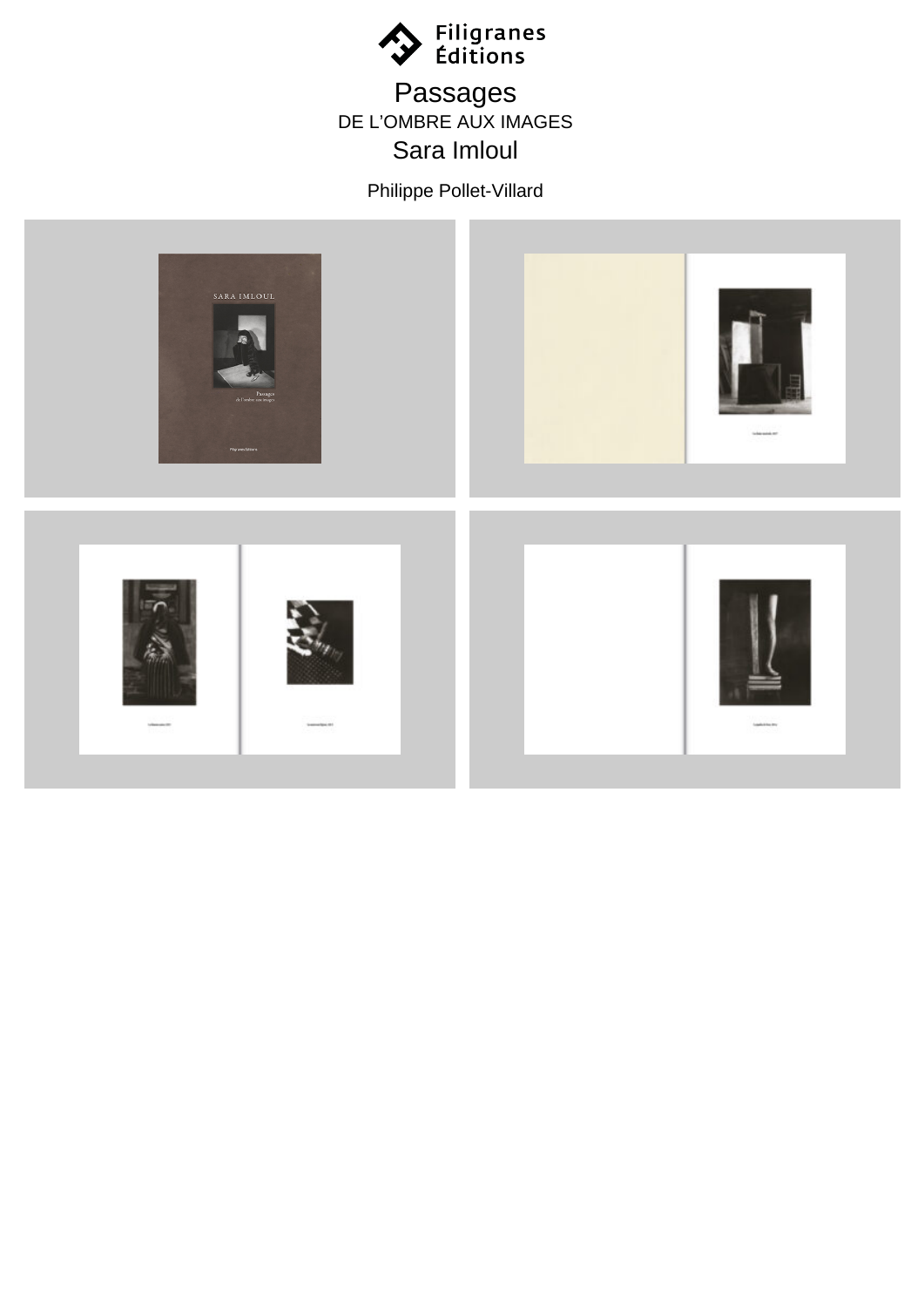

## Passages DE L'OMBRE AUX IMAGES Sara Imloul

Philippe Pollet-Villard